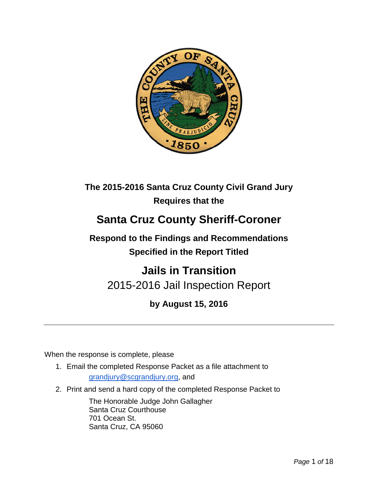

## **The 2015-2016 Santa Cruz County Civil Grand Jury Requires that the**

# **Santa Cruz County Sheriff-Coroner**

**Respond to the Findings and Recommendations Specified in the Report Titled**

# **Jails in Transition** 2015-2016 Jail Inspection Report

## **by August 15, 2016**

When the response is complete, please

- 1. Email the completed Response Packet as a file attachment to [grandjury@scgrandjury.org,](mailto:grandjury@scgrandjury.org) and
- 2. Print and send a hard copy of the completed Response Packet to

The Honorable Judge John Gallagher Santa Cruz Courthouse 701 Ocean St. Santa Cruz, CA 95060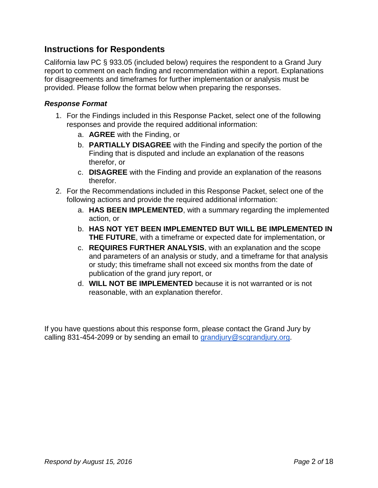## **Instructions for Respondents**

California law PC § 933.05 (included below) requires the respondent to a Grand Jury report to comment on each finding and recommendation within a report. Explanations for disagreements and timeframes for further implementation or analysis must be provided. Please follow the format below when preparing the responses.

#### *Response Format*

- 1. For the Findings included in this Response Packet, select one of the following responses and provide the required additional information:
	- a. **AGREE** with the Finding, or
	- b. **PARTIALLY DISAGREE** with the Finding and specify the portion of the Finding that is disputed and include an explanation of the reasons therefor, or
	- c. **DISAGREE** with the Finding and provide an explanation of the reasons therefor.
- 2. For the Recommendations included in this Response Packet, select one of the following actions and provide the required additional information:
	- a. **HAS BEEN IMPLEMENTED**, with a summary regarding the implemented action, or
	- b. **HAS NOT YET BEEN IMPLEMENTED BUT WILL BE IMPLEMENTED IN THE FUTURE**, with a timeframe or expected date for implementation, or
	- c. **REQUIRES FURTHER ANALYSIS**, with an explanation and the scope and parameters of an analysis or study, and a timeframe for that analysis or study; this timeframe shall not exceed six months from the date of publication of the grand jury report, or
	- d. **WILL NOT BE IMPLEMENTED** because it is not warranted or is not reasonable, with an explanation therefor.

If you have questions about this response form, please contact the Grand Jury by calling 831-454-2099 or by sending an email to [grandjury@scgrandjury.org.](mailto:grandjury@scgrandjury.org)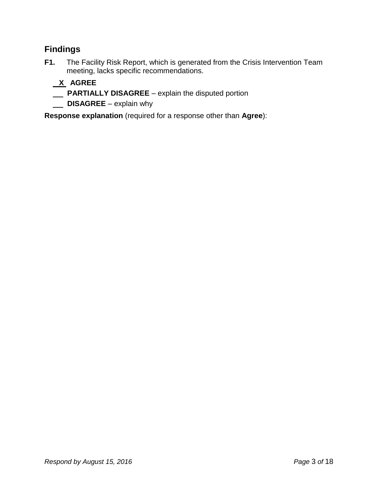## **Findings**

**F1.** The Facility Risk Report, which is generated from the Crisis Intervention Team meeting, lacks specific recommendations.

## **X AGREE**

- **PARTIALLY DISAGREE**  explain the disputed portion
- **DISAGREE** explain why

**Response explanation** (required for a response other than **Agree**):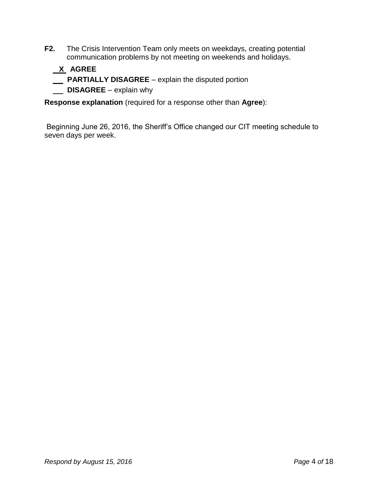**F2.** The Crisis Intervention Team only meets on weekdays, creating potential communication problems by not meeting on weekends and holidays.

## **X AGREE**

- **PARTIALLY DISAGREE** explain the disputed portion
- **DISAGREE** explain why

**Response explanation** (required for a response other than **Agree**):

Beginning June 26, 2016, the Sheriff's Office changed our CIT meeting schedule to seven days per week.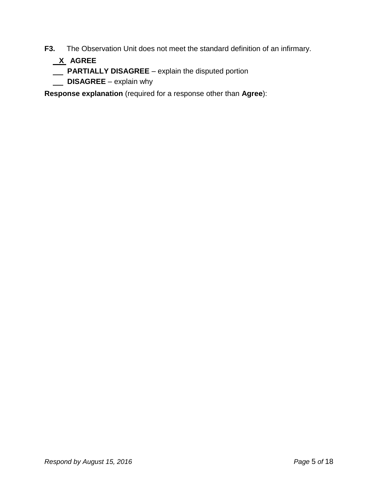**F3.** The Observation Unit does not meet the standard definition of an infirmary.

- **X AGREE**
- **PARTIALLY DISAGREE** explain the disputed portion
- **DISAGREE** explain why

**Response explanation** (required for a response other than **Agree**):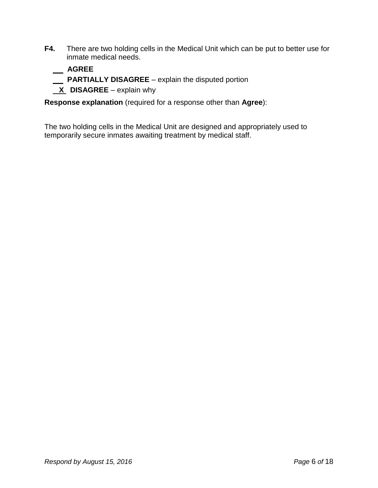**F4.** There are two holding cells in the Medical Unit which can be put to better use for inmate medical needs.

## **AGREE**

- **PARTIALLY DISAGREE**  explain the disputed portion
- **X** DISAGREE explain why

**Response explanation** (required for a response other than **Agree**):

The two holding cells in the Medical Unit are designed and appropriately used to temporarily secure inmates awaiting treatment by medical staff.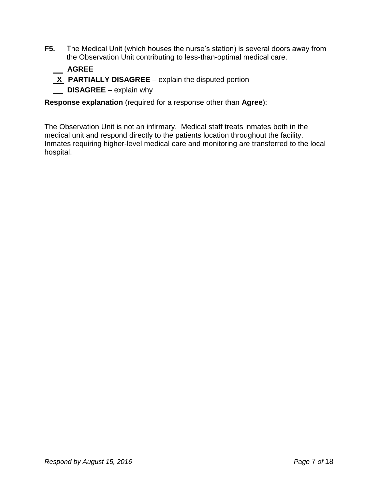**F5.** The Medical Unit (which houses the nurse's station) is several doors away from the Observation Unit contributing to less-than-optimal medical care.

### **AGREE**

- **X** PARTIALLY DISAGREE explain the disputed portion
- **DISAGREE** explain why

**Response explanation** (required for a response other than **Agree**):

The Observation Unit is not an infirmary. Medical staff treats inmates both in the medical unit and respond directly to the patients location throughout the facility. Inmates requiring higher-level medical care and monitoring are transferred to the local hospital.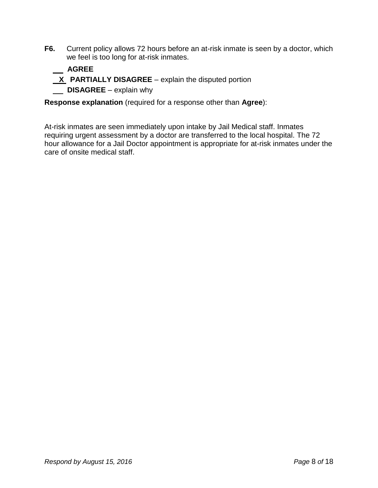**F6.** Current policy allows 72 hours before an at-risk inmate is seen by a doctor, which we feel is too long for at-risk inmates.

## **AGREE**

- **X** PARTIALLY DISAGREE explain the disputed portion
- **DISAGREE** explain why

**Response explanation** (required for a response other than **Agree**):

At-risk inmates are seen immediately upon intake by Jail Medical staff. Inmates requiring urgent assessment by a doctor are transferred to the local hospital. The 72 hour allowance for a Jail Doctor appointment is appropriate for at-risk inmates under the care of onsite medical staff.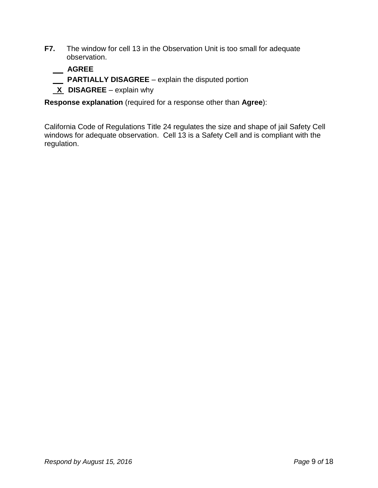**F7.** The window for cell 13 in the Observation Unit is too small for adequate observation.

 **AGREE**

- **PARTIALLY DISAGREE**  explain the disputed portion
- **X DISAGREE** explain why

**Response explanation** (required for a response other than **Agree**):

California Code of Regulations Title 24 regulates the size and shape of jail Safety Cell windows for adequate observation. Cell 13 is a Safety Cell and is compliant with the regulation.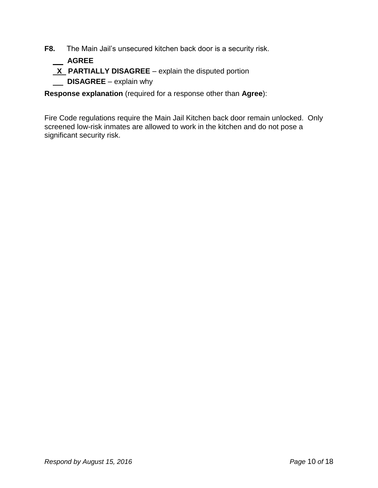- **F8.** The Main Jail's unsecured kitchen back door is a security risk.
	- **AGREE**
	- **X** PARTIALLY DISAGREE explain the disputed portion
	- **DISAGREE** explain why

**Response explanation** (required for a response other than **Agree**):

Fire Code regulations require the Main Jail Kitchen back door remain unlocked. Only screened low-risk inmates are allowed to work in the kitchen and do not pose a significant security risk.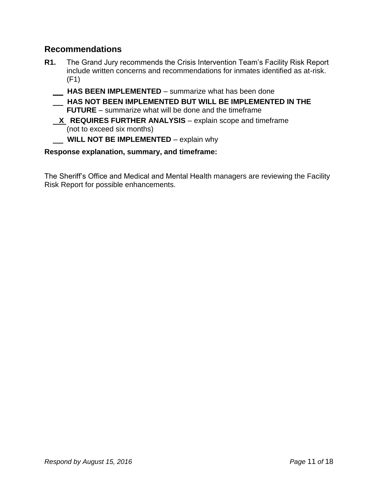## **Recommendations**

- **R1.** The Grand Jury recommends the Crisis Intervention Team's Facility Risk Report include written concerns and recommendations for inmates identified as at-risk. (F1)
	- **HAS BEEN IMPLEMENTED**  summarize what has been done
	- **HAS NOT BEEN IMPLEMENTED BUT WILL BE IMPLEMENTED IN THE FUTURE** – summarize what will be done and the timeframe
	- **X REQUIRES FURTHER ANALYSIS** explain scope and timeframe (not to exceed six months)

### **WILL NOT BE IMPLEMENTED** – explain why

### **Response explanation, summary, and timeframe:**

The Sheriff's Office and Medical and Mental Health managers are reviewing the Facility Risk Report for possible enhancements.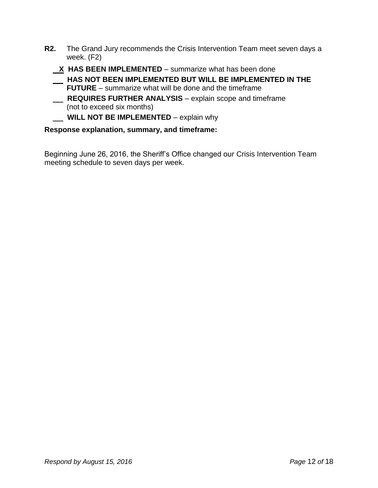- **R2.** The Grand Jury recommends the Crisis Intervention Team meet seven days a week. (F2)
	- **X HAS BEEN IMPLEMENTED** summarize what has been done
	- **HAS NOT BEEN IMPLEMENTED BUT WILL BE IMPLEMENTED IN THE FUTURE** – summarize what will be done and the timeframe
	- **REQUIRES FURTHER ANALYSIS** explain scope and timeframe (not to exceed six months)
	- **WILL NOT BE IMPLEMENTED** explain why

Beginning June 26, 2016, the Sheriff's Office changed our Crisis Intervention Team meeting schedule to seven days per week.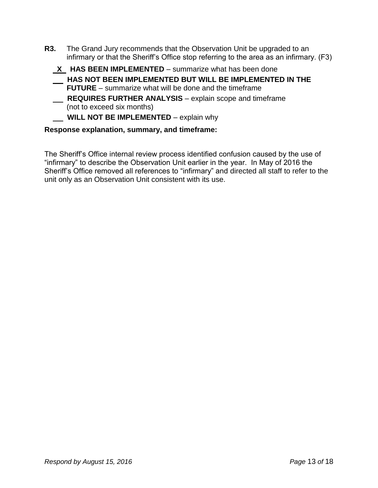- **R3.** The Grand Jury recommends that the Observation Unit be upgraded to an infirmary or that the Sheriff's Office stop referring to the area as an infirmary. (F3)
	- **X HAS BEEN IMPLEMENTED**  summarize what has been done
	- **HAS NOT BEEN IMPLEMENTED BUT WILL BE IMPLEMENTED IN THE FUTURE** – summarize what will be done and the timeframe
	- **REQUIRES FURTHER ANALYSIS** explain scope and timeframe (not to exceed six months)
	- **WILL NOT BE IMPLEMENTED** explain why

The Sheriff's Office internal review process identified confusion caused by the use of "infirmary" to describe the Observation Unit earlier in the year. In May of 2016 the Sheriff's Office removed all references to "infirmary" and directed all staff to refer to the unit only as an Observation Unit consistent with its use.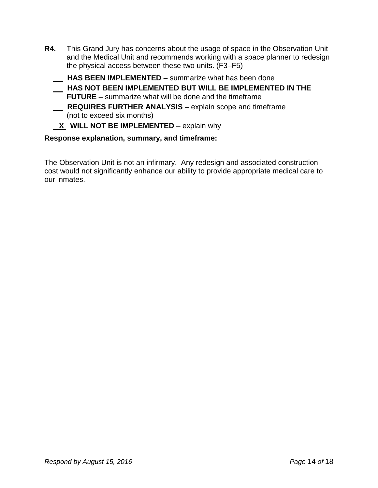- **R4.** This Grand Jury has concerns about the usage of space in the Observation Unit and the Medical Unit and recommends working with a space planner to redesign the physical access between these two units. (F3–F5)
	- **HAS BEEN IMPLEMENTED** summarize what has been done  **HAS NOT BEEN IMPLEMENTED BUT WILL BE IMPLEMENTED IN THE FUTURE** – summarize what will be done and the timeframe  **REQUIRES FURTHER ANALYSIS** – explain scope and timeframe
		- (not to exceed six months)

### **X** WILL NOT BE IMPLEMENTED – explain why

#### **Response explanation, summary, and timeframe:**

The Observation Unit is not an infirmary. Any redesign and associated construction cost would not significantly enhance our ability to provide appropriate medical care to our inmates.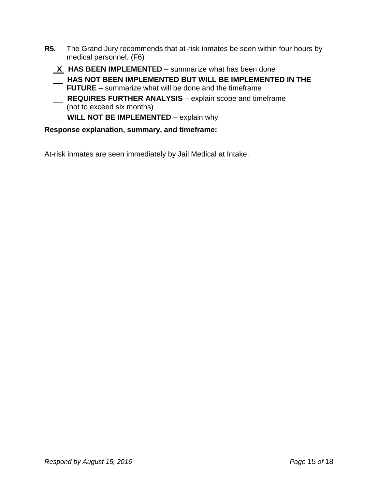- **R5.** The Grand Jury recommends that at-risk inmates be seen within four hours by medical personnel. (F6)
	- **X HAS BEEN IMPLEMENTED**  summarize what has been done
	- **HAS NOT BEEN IMPLEMENTED BUT WILL BE IMPLEMENTED IN THE FUTURE** – summarize what will be done and the timeframe
	- **REQUIRES FURTHER ANALYSIS** explain scope and timeframe (not to exceed six months)
	- **WILL NOT BE IMPLEMENTED** explain why

At-risk inmates are seen immediately by Jail Medical at Intake.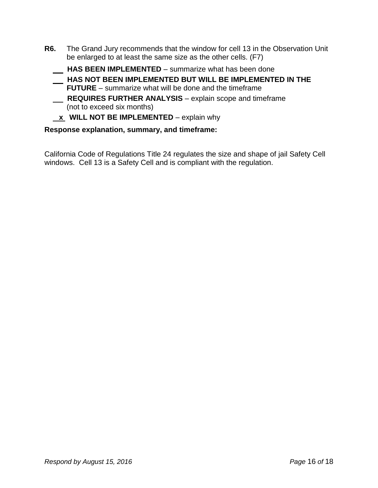- **R6.** The Grand Jury recommends that the window for cell 13 in the Observation Unit be enlarged to at least the same size as the other cells. (F7)
	- **HAS BEEN IMPLEMENTED**  summarize what has been done
	- **HAS NOT BEEN IMPLEMENTED BUT WILL BE IMPLEMENTED IN THE FUTURE** – summarize what will be done and the timeframe
	- **REQUIRES FURTHER ANALYSIS** explain scope and timeframe (not to exceed six months)
	- $\underline{\mathbf{x}}$  WILL NOT BE IMPLEMENTED explain why

California Code of Regulations Title 24 regulates the size and shape of jail Safety Cell windows. Cell 13 is a Safety Cell and is compliant with the regulation.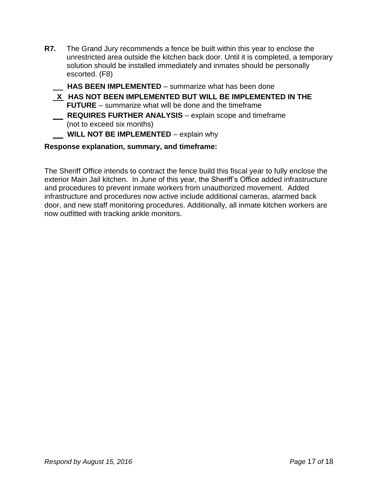- **R7.** The Grand Jury recommends a fence be built within this year to enclose the unrestricted area outside the kitchen back door. Until it is completed, a temporary solution should be installed immediately and inmates should be personally escorted. (F8)
	- **HAS BEEN IMPLEMENTED**  summarize what has been done
	- **X HAS NOT BEEN IMPLEMENTED BUT WILL BE IMPLEMENTED IN THE FUTURE** – summarize what will be done and the timeframe  **REQUIRES FURTHER ANALYSIS** – explain scope and timeframe (not to exceed six months)
	- **WILL NOT BE IMPLEMENTED** explain why

The Sheriff Office intends to contract the fence build this fiscal year to fully enclose the exterior Main Jail kitchen. In June of this year, the Sheriff's Office added infrastructure and procedures to prevent inmate workers from unauthorized movement. Added infrastructure and procedures now active include additional cameras, alarmed back door, and new staff monitoring procedures. Additionally, all inmate kitchen workers are now outfitted with tracking ankle monitors.